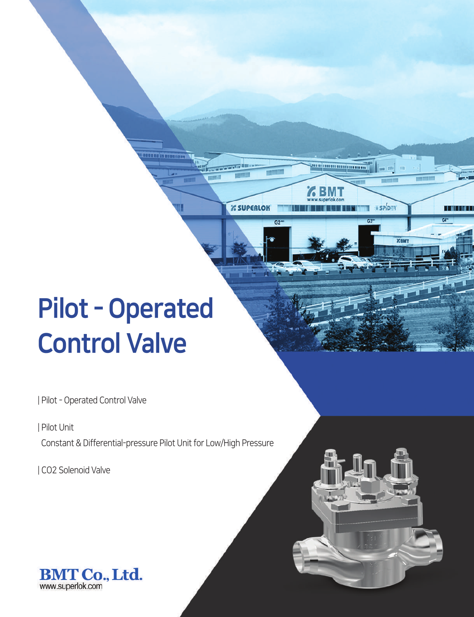# Pilot - Operated Control Valve

| Pilot - Operated Control Valve

| Pilot Unit

Constant & Differential-pressure Pilot Unit for Low/High Pressure

**SPIDER** 

TT MIT I II

**EX SUPERLOK** 

| CO2 Solenoid Valve

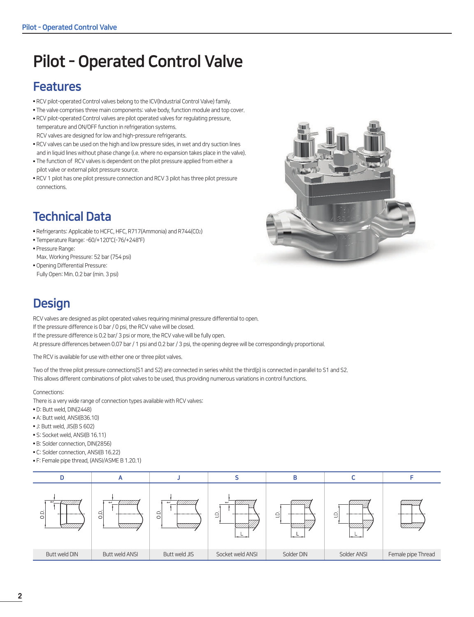## Pilot - Operated Control Valve

## Features

- RCV pilot-operated Control valves belong to the ICV(Industrial Control Valve) family.
- The valve comprises three main components: valve body, function module and top cover.
- RCV pilot-operated Control valves are pilot operated valves for regulating pressure, temperature and ON/OFF function in refrigeration systems. RCV valves are designed for low and high-pressure refrigerants.
- RCV valves can be used on the high and low pressure sides, in wet and dry suction lines and in liquid lines without phase change (i.e. where no expansion takes place in the valve).
- The function of RCV valves is dependent on the pilot pressure applied from either a pilot valve or external pilot pressure source.
- RCV 1 pilot has one pilot pressure connection and RCV 3 pilot has three pilot pressure connections.



## Technical Data

- Refrigerants: Applicable to HCFC, HFC, R717(Ammonia) and R744(C02)
- Temperature Range: -60/+120°C(-76/+248°F)
- Pressure Range:
- Max. Working Pressure: 52 bar (754 psi)
- Opening Differential Pressure: Fully Open: Min. 0.2 bar (min. 3 psi)

## **Design**

RCV valves are designed as pilot operated valves requiring minimal pressure differential to open. If the pressure difference is 0 bar / 0 psi, the RCV valve will be closed. If the pressure difference is 0.2 bar/ 3 psi or more, the RCV valve will be fully open. At pressure differences between 0.07 bar / 1 psi and 0.2 bar / 3 psi, the opening degree will be correspondingly proportional.

The RCV is available for use with either one or three pilot valves.

Two of the three pilot pressure connections(S1 and S2) are connected in series whilst the third(p) is connected in parallel to S1 and S2. This allows different combinations of pilot valves to be used, thus providing numerous variations in control functions.

Connections:

There is a very wide range of connection types available with RCV valves:

- D: Butt weld, DIN(2448)
- A: Butt weld, ANSI(B36.10)
- J: Butt weld, JIS(B S 602)
- S: Socket weld, ANSI(B 16.11)
- B: Solder connection, DIN(2856)
- C: Solder connection, ANSI(B 16.22)
- F: Female pipe thread, (ANSI/ASME B 1.20.1)

| <i>27777777</i><br>$\overline{ }$<br>o<br>O<br>----------- | $\overline{\phantom{0}}$<br>$\overline{0}$<br>_________ | $\overline{ }$<br>////////<br>$\Box$<br>________<br>Ö | ---------        | $\supseteq$<br>----------<br>__ | ≏<br>_____<br>--- | ------------       |
|------------------------------------------------------------|---------------------------------------------------------|-------------------------------------------------------|------------------|---------------------------------|-------------------|--------------------|
| Butt weld DIN                                              | <b>Butt weld ANSI</b>                                   | Butt weld JIS                                         | Socket weld ANSI | Solder DIN                      | Solder ANSI       | Female pipe Thread |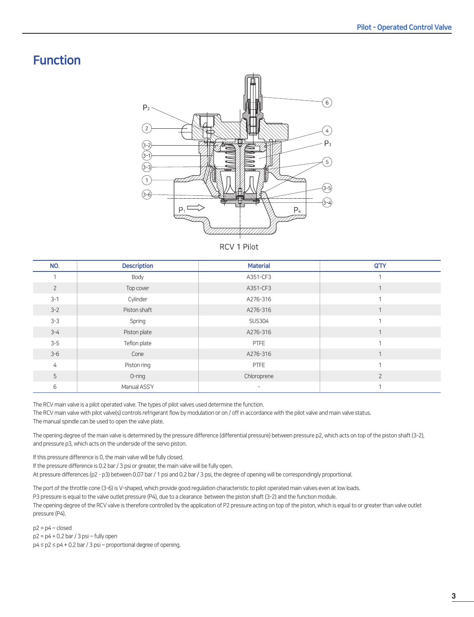## Function



RCV 1 Pilot

| NO.            | <b>Description</b> | <b>Material</b>          | Q'TY           |
|----------------|--------------------|--------------------------|----------------|
|                | Body               | A351-CF3                 |                |
| $\overline{2}$ | Top cover          | A351-CF3                 |                |
| $3 - 1$        | Cylinder           | A276-316                 |                |
| $3 - 2$        | Piston shaft       | A276-316                 |                |
| $3 - 3$        | Spring             | <b>SUS304</b>            |                |
| $3 - 4$        | Piston plate       | A276-316                 |                |
| $3-5$          | Teflon plate       | <b>PTFE</b>              |                |
| $3 - 6$        | Cone               | A276-316                 |                |
| 4              | Piston ring        | <b>PTFE</b>              | $\overline{ }$ |
| 5              | $O$ -ring          | Chloroprene              | $\overline{2}$ |
| 6              | Manual ASS'Y       | $\overline{\phantom{a}}$ |                |

The RCV main valve is a pilot operated valve. The types of pilot valves used determine the function.

The RCV main valve with pilot valve(s) controls refrigerant flow by modulation or on / off in accordance with the pilot valve and main valve status. The manual spindle can be used to open the valve plate.

The opening degree of the main valve is determined by the pressure difference (differential pressure) between pressure p2, which acts on top of the piston shaft (3-2), and pressure p3, which acts on the underside of the servo piston.

If this pressure difference is 0, the main valve will be fully closed.

If the pressure difference is 0.2 bar / 3 psi or greater, the main valve will be fully open.

At pressure differences (p2 - p3) between 0.07 bar / 1 psi and 0.2 bar / 3 psi, the degree of opening will be correspondingly proportional.

The port of the throttle cone (3-6) is V-shaped, which provide good regulation characteristic to pilot operated main valves even at low loads. P3 pressure is equal to the valve outlet pressure (P4), due to a clearance between the piston shaft (3-2) and the function module. The opening degree of the RCV valve is therefore controlled by the application of P2 pressure acting on top of the piston, which is equal to or greater than valve outlet pressure (P4).

 $p2 = p4 \sim$  closed  $p2 = p4 + 0.2$  bar / 3 psi ~ fully open p4 ≤ p2 ≤ p4 + 0.2 bar / 3 psi ~ proportional degree of opening.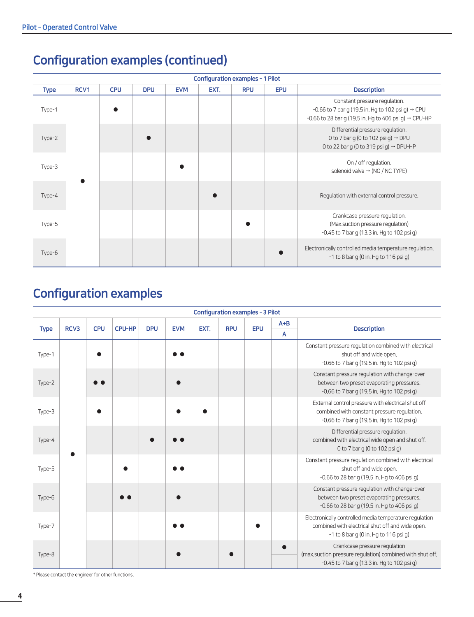## Configuration examples (continued)

| <b>Configuration examples - 1 Pilot</b><br>RCV1<br><b>CPU</b><br><b>Description</b><br><b>DPU</b><br><b>EVM</b><br>EXT.<br><b>RPU</b><br><b>EPU</b><br><b>Type</b><br>Constant pressure regulation.<br>-0.66 to 7 bar g (19.5 in Hg to 102 psi g) $\rightarrow$ CPU<br>Type-1<br>Differential pressure regulation.<br>0 to 7 bar g (0 to 102 psi g) $\rightarrow$ DPU<br>Type-2 |  |  |  |  |  |  |  |                                                                                                                      |  |  |  |  |  |
|---------------------------------------------------------------------------------------------------------------------------------------------------------------------------------------------------------------------------------------------------------------------------------------------------------------------------------------------------------------------------------|--|--|--|--|--|--|--|----------------------------------------------------------------------------------------------------------------------|--|--|--|--|--|
|                                                                                                                                                                                                                                                                                                                                                                                 |  |  |  |  |  |  |  |                                                                                                                      |  |  |  |  |  |
|                                                                                                                                                                                                                                                                                                                                                                                 |  |  |  |  |  |  |  | -0.66 to 28 bar q (19.5 in. Hg to 406 psi q) → CPU-HP                                                                |  |  |  |  |  |
|                                                                                                                                                                                                                                                                                                                                                                                 |  |  |  |  |  |  |  | 0 to 22 bar q (0 to 319 psi q) $\rightarrow$ DPU-HP                                                                  |  |  |  |  |  |
| Type-3                                                                                                                                                                                                                                                                                                                                                                          |  |  |  |  |  |  |  | On / off regulation.<br>solenoid valve $\rightarrow$ (NO / NC TYPE)                                                  |  |  |  |  |  |
| Type-4                                                                                                                                                                                                                                                                                                                                                                          |  |  |  |  |  |  |  | Regulation with external control pressure.                                                                           |  |  |  |  |  |
| Type-5                                                                                                                                                                                                                                                                                                                                                                          |  |  |  |  |  |  |  | Crankcase pressure regulation.<br>(Max suction pressure regulation)<br>$-0.45$ to 7 bar q (13.3 in. Hg to 102 psi g) |  |  |  |  |  |
| Type-6                                                                                                                                                                                                                                                                                                                                                                          |  |  |  |  |  |  |  | Electronically controlled media temperature regulation.<br>$-1$ to 8 bar q (0 in. Hq to 116 psi q)                   |  |  |  |  |  |

## Configuration examples

|             |      |            |               |            |            |      | <b>Configuration examples - 3 Pilot</b> |            |         |                                                                                                                                                     |
|-------------|------|------------|---------------|------------|------------|------|-----------------------------------------|------------|---------|-----------------------------------------------------------------------------------------------------------------------------------------------------|
|             | RCV3 | <b>CPU</b> | <b>CPU-HP</b> | <b>DPU</b> | <b>EVM</b> | EXT. | <b>RPU</b>                              | <b>EPU</b> | $A + B$ | <b>Description</b>                                                                                                                                  |
| <b>Type</b> |      |            |               |            |            |      |                                         |            | A       |                                                                                                                                                     |
| Type-1      |      |            |               |            |            |      |                                         |            |         | Constant pressure regulation combined with electrical<br>shut off and wide open.<br>$-0.66$ to 7 bar q (19.5 in. Hg to 102 psi g)                   |
| Type-2      |      |            |               |            |            |      |                                         |            |         | Constant pressure regulation with change-over<br>between two preset evaporating pressures.<br>-0.66 to 7 bar g (19.5 in. Hg to 102 psi g)           |
| Type-3      |      |            |               |            |            |      |                                         |            |         | External control pressure with electrical shut off<br>combined with constant pressure regulation.<br>-0.66 to 7 bar g (19.5 in. Hg to 102 psi g)    |
| Type-4      |      |            |               |            |            |      |                                         |            |         | Differential pressure regulation.<br>combined with electrical wide open and shut off.<br>0 to 7 bar g (0 to 102 psi g)                              |
| Type-5      |      |            |               |            |            |      |                                         |            |         | Constant pressure regulation combined with electrical<br>shut off and wide open.<br>-0.66 to 28 bar g (19.5 in. Hg to 406 psi g)                    |
| Type-6      |      |            |               |            |            |      |                                         |            |         | Constant pressure regulation with change-over<br>between two preset evaporating pressures.<br>-0.66 to 28 bar g (19.5 in. Hg to 406 psi g)          |
| Type-7      |      |            |               |            |            |      |                                         |            |         | Electronically controlled media temperature regulation<br>combined with electrical shut off and wide open.<br>-1 to 8 bar g (0 in. Hg to 116 psi g) |
| Type-8      |      |            |               |            |            |      |                                         |            |         | Crankcase pressure regulation<br>(max.suction pressure regulation) combined with shut off.<br>-0.45 to 7 bar g (13.3 in. Hg to 102 psi g)           |

\* Please contact the engineer for other functions.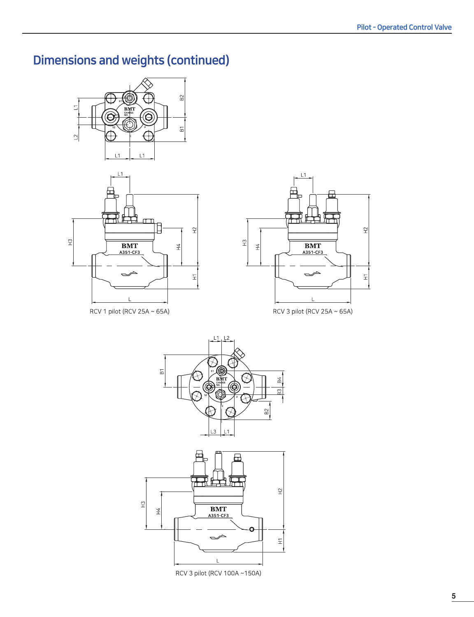## Dimensions and weights (continued)





RCV 1 pilot (RCV 25A ~ 65A)



RCV 3 pilot (RCV 25A ~ 65A)





RCV 3 pilot (RCV 100A ~150A)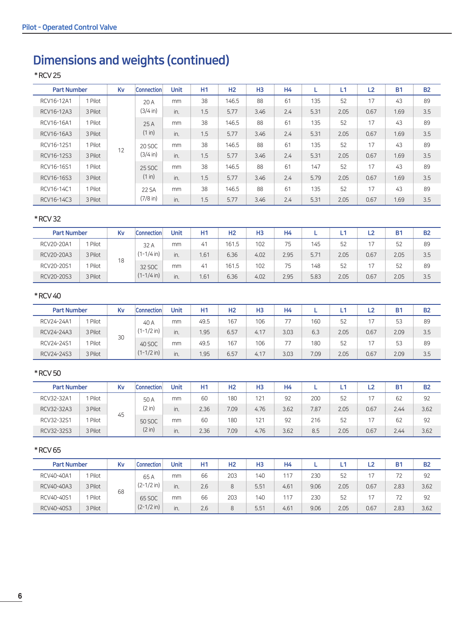## Dimensions and weights (continued)

### \* RCV 25

| <b>Part Number</b> |         | Kv | <b>Connection</b> | <b>Unit</b> | H <sub>1</sub> | H <sub>2</sub> | H <sub>3</sub> | <b>H4</b> |      | L1   | L2   | <b>B1</b> | <b>B2</b> |
|--------------------|---------|----|-------------------|-------------|----------------|----------------|----------------|-----------|------|------|------|-----------|-----------|
| RCV16-12A1         | 1 Pilot |    | 20A               | mm          | 38             | 146.5          | 88             | 61        | 135  | 52   | 17   | 43        | 89        |
| RCV16-12A3         | 3 Pilot |    | (3/4 in)          | in.         | 1.5            | 5.77           | 3.46           | 2.4       | 5.31 | 2.05 | 0.67 | 1.69      | 3.5       |
| RCV16-16A1         | 1 Pilot |    | 25A               | mm          | 38             | 146.5          | 88             | 61        | 135  | 52   | 17   | 43        | 89        |
| RCV16-16A3         | 3 Pilot |    | (1 in)            | in.         | 1.5            | 5.77           | 3.46           | 2.4       | 5.31 | 2.05 | 0.67 | 1.69      | 3.5       |
| RCV16-12S1         | 1 Pilot |    | 20 SOC            | mm          | 38             | 146.5          | 88             | 61        | 135  | 52   | 17   | 43        | 89        |
| RCV16-12S3         | 3 Pilot | 12 | (3/4 in)          | in.         | 1.5            | 5.77           | 3.46           | 2.4       | 5.31 | 2.05 | 0.67 | 1.69      | 3.5       |
| RCV16-16S1         | 1 Pilot |    | 25 SOC            | mm          | 38             | 146.5          | 88             | 61        | 147  | 52   | 17   | 43        | 89        |
| RCV16-16S3         | 3 Pilot |    | (1 in)            | in.         | 1.5            | 5.77           | 3.46           | 2.4       | 5.79 | 2.05 | 0.67 | 1.69      | 3.5       |
| RCV16-14C1         | 1 Pilot |    | 22 SA             | mm          | 38             | 146.5          | 88             | 61        | 135  | 52   | 17   | 43        | 89        |
| RCV16-14C3         | 3 Pilot |    | $(7/8)$ in)       | in.         | 1.5            | 5.77           | 3.46           | 2.4       | 5.31 | 2.05 | 0.67 | 1.69      | 3.5       |

### \* RCV 32

| <b>Part Number</b> |         | Kv | <b>Connection</b> | Unit | Η1  | H <sub>2</sub> | H <sub>3</sub> | H4   |      |      | -2   | <b>B1</b> | <b>B2</b> |
|--------------------|---------|----|-------------------|------|-----|----------------|----------------|------|------|------|------|-----------|-----------|
| RCV20-20A1         | Pilot   |    | 32 A              | mm   | 41  | 161.5          | 102            | 75   | 145  | 52   | 17   | 52        | 89        |
| RCV20-20A3         | 3 Pilot |    | $(1 - 1/4)$ in)   | in.  | .61 | 6.36           | 4.02           | 2.95 | 5.71 | 2.05 | 0.67 | 2.05      | 3.5       |
| RCV20-20S1         | Pilot   | 18 | 32 SOC            | mm   | 41  | 161.5          | 102            | 75   | 148  | 52   |      | 52        | 89        |
| RCV20-20S3         | 3 Pilot |    | $(1 - 1/4)$ in    | in.  | .61 | 6.36           | 4.02           | 2.95 | 5.83 | 2.05 | 0.67 | 2.05      | 3.5       |

### \* RCV 40

| <b>Part Number</b> |         | Kv | <b>Connection</b> | Unit | Η1   | H <sub>2</sub> | H <sub>3</sub> | H4   |      |      | ∟2   | <b>B1</b> | <b>B2</b> |
|--------------------|---------|----|-------------------|------|------|----------------|----------------|------|------|------|------|-----------|-----------|
| RCV24-24A1         | Pilot   |    | 40 A              | mm   | 49.5 | 167            | 106            | 77   | 160  | 52   |      | 53        | 89        |
| RCV24-24A3         | 3 Pilot | 30 | $(1 - 1/2)$ in    | in.  | 1.95 | 6.57           | 4.17           | 3.03 | 6.3  | 2.05 | 0.67 | 2.09      | 3.5       |
| RCV24-24S1         | Pilot   |    | 40 SOC            | mm   | 49.5 | 167            | 106            | 77   | 180  | 52   | 17   | 53        | 89        |
| RCV24-24S3         | 3 Pilot |    | $(1 - 1/2)$ in)   | in.  | .95  | 6.57           | 4.17           | 3.03 | 7.09 | 2.05 | 0.67 | 2.09      | 3.5       |

### \* RCV 50

| <b>Part Number</b> |         | Kv | <b>Connection</b> | Unit | Η1   | H <sub>2</sub> | H <sub>3</sub> | H4   |      |      | L2   | <b>B1</b> | <b>B2</b> |
|--------------------|---------|----|-------------------|------|------|----------------|----------------|------|------|------|------|-----------|-----------|
| RCV32-32A1         | 1 Pilot |    | 50 A              | mm   | 60   | 180            | 121            | 92   | 200  | 52   | 17   | 62        | 92        |
| RCV32-32A3         | 3 Pilot |    | (2 in)<br>50 SOC  | in.  | 2.36 | 7.09           | 4.76           | 3.62 | 7.87 | 2.05 | 0.67 | 2.44      | 3.62      |
| RCV32-32S1         | 1 Pilot | 45 |                   | mm   | 60   | 180            | 121            | 92   | 216  | 52   |      | 62        | 92        |
| RCV32-32S3         | 3 Pilot |    | (2 in)            | in.  | 2.36 | 7.09           | 4.76           | 3.62 | 8.5  | 2.05 | 0.67 | 2.44      | 3.62      |

### \* RCV 65

| <b>Part Number</b> |         | Kv | <b>Connection</b> | Unit | H1  | H <sub>2</sub> | H <sub>3</sub> | <b>H4</b> |      |      | L2   | B    | <b>B2</b> |
|--------------------|---------|----|-------------------|------|-----|----------------|----------------|-----------|------|------|------|------|-----------|
| RCV40-40A1         | 1 Pilot |    | 65A               | mm   | 66  | 203            | 140            | 117       | 230  | 52   |      |      | 92        |
| RCV40-40A3         | 3 Pilot |    | $(2-1/2$ in)      | in.  | 2.6 | 8              | 5.51           | 4.61      | 9.06 | 2.05 | 0.67 | 2.83 | 3.62      |
| RCV40-40S1         | 1 Pilot | 68 | 65 SOC            | mm   | 66  | 203            | 140            | 117       | 230  | 52   |      |      | 92        |
| RCV40-40S3         | 3 Pilot |    | $(2 - 1/2)$ in    | in.  | 2.6 | 8              | 5.51           | 4.61      | 9.06 | 2.05 | 0.67 | 2.83 | 3.62      |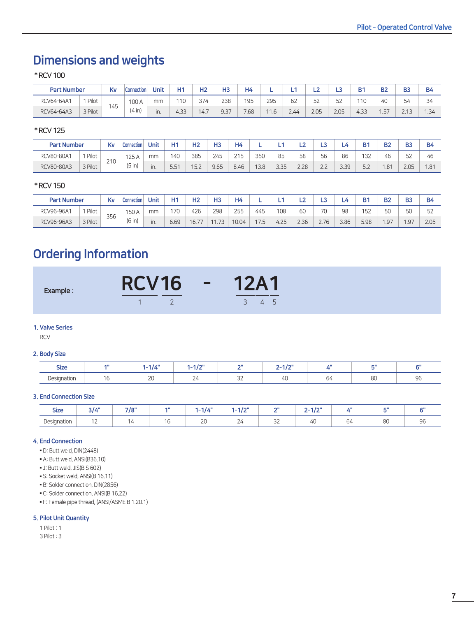## Dimensions and weights

\* RCV 100

| <b>Part Number</b> |         | K٧  | <b>Connection</b> | Unit | H1   | H2         | H3         | H4   |                        |      | $\overline{\phantom{a}}$<br>∸ | $\mathbf{L}$ 3 | Bʻ   | B2  | B <sub>3</sub>                     | <b>B4</b> |
|--------------------|---------|-----|-------------------|------|------|------------|------------|------|------------------------|------|-------------------------------|----------------|------|-----|------------------------------------|-----------|
| RCV64-64A1         | Pilot   |     | 100 A             | mm   | 110  | 374<br>، ب | ววด<br>ムコヒ | 195  | 295                    | 62   | 52<br>ےر                      | 52             | 110  | 40  | 54                                 | 34        |
| RCV64-64A3         | 3 Pilot | 145 | (4 in)            | in.  | 4.33 | 14.7       | 9.37       | 7.68 | 11 <sub>C</sub><br>1.6 | 2.44 | 2.05                          | 2.05           | 4.33 | .57 | $\bigcap$ $\bigcap$<br><u>L.I.</u> | 1.34      |

### \* RCV 125

| <b>Part Number</b> |         | Kv  | <b>Connection</b> | Unit | Ш4                       | H <sub>2</sub> | H3   | H4   |      | -    | ∸    | ∽                             | مے   | D.                                    | ng  | B <sub>3</sub>                       | B4   |
|--------------------|---------|-----|-------------------|------|--------------------------|----------------|------|------|------|------|------|-------------------------------|------|---------------------------------------|-----|--------------------------------------|------|
| RCV80-80A1         | Pilot   |     | 125 A             | mm   | 140                      | 385            | 245  | 215  | 350  | 85   | 58   | 56                            | 86   | 132                                   | 46  | $\overline{\phantom{0}}$<br>h.<br>ےب | 46   |
| RCV80-80A3         | 3 Pilot | 210 | (5 in)            | in.  | $F - A$<br>$5.5^{\circ}$ | 15.2           | 9.65 | 8.46 | 13.8 | 3.35 | 2.28 | $\sim$ $\sim$<br>$\leftarrow$ | 3.39 | $\sim$ $\sim$<br>$\cup$ . $\subseteq$ | .81 | 2.05                                 | 1.81 |

### \* RCV 150

| <b>Part Number</b> |         | K۷  | Connection | Jnit | 44   | פו<br>אד    | H3   | H4    |      | -    | $\overline{\phantom{a}}$<br>-- | ∽    |      | D.         | no. |                   | <b>B4</b>          |
|--------------------|---------|-----|------------|------|------|-------------|------|-------|------|------|--------------------------------|------|------|------------|-----|-------------------|--------------------|
| RCV96-96A1         | Pilot   |     | 150 A      | mm   | 170  | 426         | 298  | 255   | 445  | 108  | 60                             | 70   | 98   | $-2$<br>52 | 50  | <b>ΓU</b><br>یں ر | $\sim$<br>ь.<br>ےب |
| RCV96-96A3         | 3 Pilot | 356 | (6 in)     | in.  | 6.69 | .167<br>∪.7 | 1.73 | 10.04 | 17.5 | 4.25 | 2.36                           | 2.76 | 3.86 | 5.98       | .97 | 197<br>-          | 2.05               |

## Ordering Information

| Example : | <b>RCV16</b> | <b>12A1</b> |  |
|-----------|--------------|-------------|--|
|           |              |             |  |

### 1. Valve Series

RCV

### 2. Body Size

| <b>Size</b>             |    | .            | 10V<br>-4<br>. | oш                   | i for<br>-<br>. |    |              |                               |
|-------------------------|----|--------------|----------------|----------------------|-----------------|----|--------------|-------------------------------|
| Designation<br><u>т</u> | ١c | $\sim$<br>∸∽ |                | $\sim$ $\sim$<br>$-$ |                 | 64 | $\sim$<br>υu | $\overline{\phantom{a}}$<br>. |

### 3. End Connection Size

| $\sim$<br><b>Size</b> | 2111          | 710" | 4 H | $-114"$      | 4.419<br>$\cdots$ | $\sim$       | $\sim$ 4 $\mu$ m<br>$\rightarrow$<br>- |    | ÷ш |    |
|-----------------------|---------------|------|-----|--------------|-------------------|--------------|----------------------------------------|----|----|----|
| Designation           | $\sim$<br>' 4 |      |     | $\sim$<br>ZU | $\sim$<br>∠∸      | $\sim$<br>ےب | 41                                     | 64 | 80 | ЭC |

### 4. End Connection

■ D: Butt weld, DIN(2448)

■ A: Butt weld, ANSI(B36.10)

■ J: Butt weld, JIS(B S 602)

■ S: Socket weld, ANSI(B 16.11)

■ B: Solder connection, DIN(2856)

■ C: Solder connection, ANSI(B 16.22)

■ F: Female pipe thread, (ANSI/ASME B 1.20.1)

### 5. Pilot Unit Quantity

1 Pilot : 1

3 Pilot : 3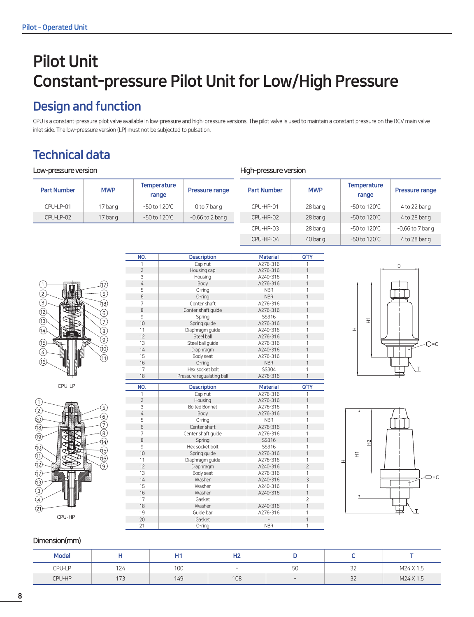## Pilot Unit Constant-pressure Pilot Unit for Low/High Pressure

## Design and function

CPU is a constant-pressure pilot valve available in low-pressure and high-pressure versions. The pilot valve is used to maintain a constant pressure on the RCV main valve inlet side. The low-pressure version (LP) must not be subjected to pulsation.

## Technical data

### Low-pressure version

| <b>Part Number</b> | <b>MWP</b> | <b>Temperature</b><br>range | <b>Pressure range</b> | <b>Part Number</b> | <b>MWP</b>          | <b>Temperature</b><br>range | Pressure range     |
|--------------------|------------|-----------------------------|-----------------------|--------------------|---------------------|-----------------------------|--------------------|
| CPU-LP-01          | 17 bar g   | $-50$ to 120 $\degree$ C    | 0 to 7 bar g          | CPU-HP-01          | 28 bar g            | -50 to 120°C                | 4 to 22 bar g      |
| CPU-LP-02          | 17 bar g   | $-50$ to 120 $\degree$ C    | $-0.66$ to 2 bar g    | CPU-HP-02          | 28 <sub>bar</sub> q | $-50$ to 120 $^{\circ}$ C   | $4$ to 28 bar g    |
|                    |            |                             |                       | CPU-HP-03          | 28 bar g            | -50 to 120°C                | $-0.66$ to 7 bar g |

High-pressure version



NO. Description Material Q'TY 1 Cap nut 1 A276-316 1 2 Housing cap A276-316 1 3 Housing A240-316 1 A276-316 1 5 O-ring NBR 1 6 O-ring NBR 1 7 Conter shaft A276-316 8 Conter shaft guide A276-316 1 9 Spring 3SS316 1 10 Spring guide **A276-316** 1 11 Diaphragm guide | A240-316 | 1 12 Steel ball **A276-316** 1 13 Steel ball guide 1<br>14 Diaphragm 14 A240-316 1 Diaphragm 15 Body seat **A276-316** 1 16 | O-ring | NBR | 1 17 Hex socket bolt SS304 18 | Pressure regualating ball | A276-316 | 1



 $CPU-HP-04$  40 bar g  $-50$  to 120°C 4 to 28 bar g



| $\overline{0}$ | Pressure regudiating ball | AZ/0-310        |                |
|----------------|---------------------------|-----------------|----------------|
|                |                           |                 |                |
| NO.            | <b>Description</b>        | <b>Material</b> | Q'TY           |
| 1              | Cap nut                   | A276-316        | 1              |
| $\overline{2}$ | Housing                   | A276-316        | 1              |
| 3              | <b>Bolted Bonnet</b>      | A276-316        |                |
| 4              | Body                      | A276-316        | 1              |
| 5              | 0-ring                    | <b>NBR</b>      |                |
| 6              | Center shaft              | A276-316        | 1              |
| 7              | Center shaft quide        | A276-316        |                |
| 8              | Spring                    | SS316           | 1              |
| 9              | Hex socket bolt           | SS316           | 1              |
| 10             | Spring guide              | A276-316        | 1              |
| 11             | Diaphragm guide           | A276-316        |                |
| 12             | Diaphragm                 | A240-316        | $\overline{2}$ |
| 13             | Body seat                 | A276-316        | 1              |
| 14             | Washer                    | A240-316        | 3              |
| 15             | Washer                    | A240-316        | 1              |
| 16             | Washer                    | A240-316        | 1              |
| 17             | Gasket                    |                 | $\overline{2}$ |
| 18             | Washer                    | A240-316        | 1              |
| 19             | Guide bar                 | A276-316        |                |
| 20             | Gasket                    |                 | 1              |
| 21             | 0-ring                    | <b>NBR</b>      | 1              |



### Dimension(mm)

| <b>Model</b> |     | H1  | பா<br>пz.                |                          |          |           |
|--------------|-----|-----|--------------------------|--------------------------|----------|-----------|
| CPU-LP       | 124 | 100 | $\overline{\phantom{a}}$ | $\Gamma$<br>$\sim$<br>JU | 32<br>ےر | M24 X 1.5 |
| CPU-HP       | 173 | 149 | 108                      | $\overline{\phantom{0}}$ | 32       | M24 X 1.5 |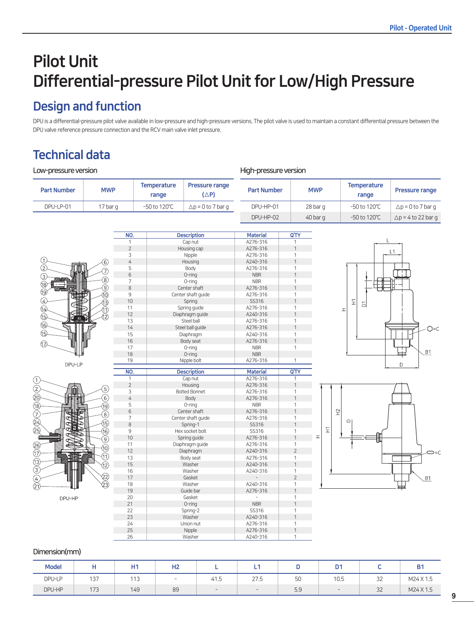## Pilot Unit Differential-pressure Pilot Unit for Low/High Pressure

## Design and function

DPU is a differential-pressure pilot valve available in low-pressure and high-pressure versions. The pilot valve is used to maintain a constant differential pressure between the DPU valve reference pressure connection and the RCV main valve inlet pressure.

## Technical data

| Low-pressure version            |                   |                     |                             |                                   |                             | High-pressure version |                       |                             |                            |  |  |
|---------------------------------|-------------------|---------------------|-----------------------------|-----------------------------------|-----------------------------|-----------------------|-----------------------|-----------------------------|----------------------------|--|--|
| <b>Part Number</b>              | <b>MWP</b>        |                     | <b>Temperature</b><br>range | Pressure range<br>$(\triangle P)$ | <b>Part Number</b>          |                       | <b>MWP</b>            | <b>Temperature</b><br>range | Pressure range             |  |  |
| DPU-LP-01                       | 17 bar g          |                     | -50 to 120°C                | $\Delta p = 0$ to 7 bar q         | DPU-HP-01                   |                       | 28 bar g              | -50 to 120°C                | $\Delta p = 0$ to 7 bar g  |  |  |
|                                 |                   |                     |                             |                                   | DPU-HP-02                   |                       | 40 bar g              | -50 to 120°C                | $\Delta p = 4$ to 22 bar g |  |  |
|                                 |                   |                     |                             |                                   |                             |                       |                       |                             |                            |  |  |
|                                 |                   | NO.<br>$\mathbf{1}$ |                             | <b>Description</b><br>Cap nut     | <b>Material</b><br>A276-316 | Q'TY<br>$\mathbf{1}$  |                       |                             |                            |  |  |
|                                 |                   | $\overline{c}$      |                             | Housing cap                       | A276-316                    |                       |                       |                             |                            |  |  |
|                                 |                   | 3                   |                             | Nipple                            | A276-316                    | $\mathbf{1}$          |                       |                             | L1                         |  |  |
| $\odot$                         | [6]               | $\overline{4}$      |                             | Housing                           | A240-316                    | $\mathbf{1}$          |                       |                             |                            |  |  |
| $\breve{\textcircled{2}}$       |                   | 5                   |                             | Body                              | A276-316                    | $\mathbf{1}$          |                       |                             |                            |  |  |
| $\circledS$                     |                   | $\,$ 6 $\,$         |                             | $O$ -ring                         | <b>NBR</b>                  | $\mathbf{1}$          |                       |                             |                            |  |  |
|                                 | 3                 | $\overline{7}$      |                             | O-ring                            | <b>NBR</b>                  | 1                     |                       |                             |                            |  |  |
| 18                              | 9)                | 8                   |                             | Center shaft                      | A276-316                    |                       |                       |                             |                            |  |  |
| $\circledR$                     | (10)              | 9                   |                             | Center shaft guide                | A276-316                    | $\mathbf{1}$          |                       |                             |                            |  |  |
| $\circledA$                     | ඹ                 | 10                  |                             | Spring                            | SS316                       | $\mathbf{1}$          |                       | $\overleftarrow{\pm}$       |                            |  |  |
| $\bigcirc$                      | (11               | 11                  |                             | Spring quide                      | A276-316                    | $\mathbf{1}$          |                       | $\overline{\square}$<br>H   |                            |  |  |
|                                 |                   | 12                  |                             | Diaphragm guide                   | A240-316                    | $\mathbf{1}$          |                       |                             |                            |  |  |
| $\overline{\mathbb{G}}$<br>idà. |                   | 13                  |                             | Steel ball                        | A276-316                    | $\mathbf{1}$          |                       |                             |                            |  |  |
| $\circledR$                     |                   | 14                  |                             | Steel ball quide                  | A276-316                    | $\overline{1}$        |                       |                             | $Q=C$                      |  |  |
| $\circled{5}$                   |                   | 15                  |                             | Diaphragm                         | A240-316                    | $\mathbf{1}$          |                       |                             |                            |  |  |
|                                 |                   | 16                  |                             | Body seat                         | A276-316                    | $\mathbf{1}$          |                       |                             |                            |  |  |
| $\circled{2}$                   |                   | 17                  |                             | O-ring                            | <b>NBR</b>                  | $\mathbf{1}$          |                       |                             |                            |  |  |
|                                 |                   | 18                  |                             | O-ring                            | <b>NBR</b>                  |                       |                       |                             | <b>B1</b><br>≖             |  |  |
| DPU-LP                          |                   | 19                  |                             | Nipple bolt                       | A276-316                    | $\mathbf{1}$          |                       |                             | D                          |  |  |
|                                 |                   | NO.                 |                             | <b>Description</b>                | <b>Material</b>             | Q'TY                  |                       |                             |                            |  |  |
|                                 |                   | $\mathbf{1}$        |                             | Cap nut                           | A276-316                    | $\mathbf{1}$          |                       |                             |                            |  |  |
|                                 |                   | $\overline{2}$      |                             | Housing                           | A276-316                    | $\mathbf{1}$          |                       |                             |                            |  |  |
| $\circled{2}$<br>Î              | 5                 | 3                   |                             | <b>Bolted Bonnet</b>              | A276-316                    | $\mathbf{1}$          |                       |                             |                            |  |  |
| ⑳                               | 6                 | $\sqrt{4}$          |                             | Body                              | A276-316                    | $\mathbf{1}$          |                       |                             |                            |  |  |
| ര)                              | @                 | 5                   |                             | O-ring                            | <b>NBR</b>                  | $\mathbf{1}$          |                       |                             |                            |  |  |
|                                 |                   | $\,$ 6 $\,$         |                             | Center shaft                      | A276-316                    | $\mathbf{1}$          | $\widetilde{\pm}$     |                             |                            |  |  |
| Ē<br>⊋                          | $\left( 8\right)$ | $\overline{7}$      |                             | Center shaft guide                | A276-316                    | $\mathbf{1}$          |                       |                             |                            |  |  |
| Q)<br>②<br>⊃                    | ⑮                 | $\,8\,$             |                             | Spring-1                          | SS316                       | $\mathbf{1}$          |                       | $\hfill\square$             |                            |  |  |
|                                 | ൹                 | 9                   |                             | Hex socket bolt                   | SS316                       | $\mathbf{1}$          | $\overleftarrow{\pm}$ |                             |                            |  |  |
|                                 | 9                 | 10                  |                             | Spring guide                      | A276-316                    | $\mathbf{1}$          | H                     |                             |                            |  |  |
| ⊗                               |                   | 11                  |                             | Diaphragm guide                   | A276-316                    | $\mathbf{1}$          |                       |                             |                            |  |  |
| $\bar{\textcircled{r}}$         | ⊚                 | 12                  |                             | Diaphragm                         | A240-316                    | $\overline{2}$        |                       |                             |                            |  |  |
| 41                              | M)                | 13                  |                             | Body seat                         | A276-316                    | $\mathbf{1}$          |                       |                             |                            |  |  |
| 13)                             | 12)               | 15                  |                             | Washer                            | A240-316                    | $\mathbf{1}$          |                       |                             |                            |  |  |
| ③                               |                   | 16                  |                             | Washer                            | A240-316                    | $\mathbf{1}$          |                       |                             |                            |  |  |
|                                 | (22)              | 17                  |                             | Gasket                            |                             | $\overline{2}$        |                       |                             | <b>B1</b>                  |  |  |
| 42                              | ⊘ි                | 18                  |                             | Washer                            | A240-316                    | $\mathbf{1}$          |                       |                             | $\Box$                     |  |  |
|                                 |                   | 19                  |                             | Guide bar                         | A276-316                    | $\mathbf{1}$          |                       |                             |                            |  |  |
| DPU-HP                          |                   | 20                  |                             | Gasket                            | $\overline{\phantom{a}}$    | $\mathbf{1}$          |                       |                             |                            |  |  |
|                                 |                   | 21                  |                             | $O$ -ring                         | <b>NBR</b>                  | $\mathbf{1}$          |                       |                             |                            |  |  |
|                                 |                   | $22\,$              |                             | Spring-2                          | SS316                       | 1                     |                       |                             |                            |  |  |
|                                 |                   | 23                  |                             | Washer                            | A240-316                    | $\mathbf{1}$          |                       |                             |                            |  |  |
|                                 |                   | 24                  |                             | Union nut                         | A276-316                    | $\mathbf{1}$          |                       |                             |                            |  |  |
|                                 |                   | 25                  |                             | Nipple                            | A276-316                    | $\mathbf{1}$          |                       |                             |                            |  |  |
|                                 |                   | 26                  |                             | Washer                            | A240-316                    |                       |                       |                             |                            |  |  |

### Dimension(mm)

| <b>Model</b> |     | ш1<br>пι   | H <sub>2</sub>           |      | .,                       |     | D1   |              | B1        |
|--------------|-----|------------|--------------------------|------|--------------------------|-----|------|--------------|-----------|
| DPU-LP       | 137 | 110<br>. . | $\overline{\phantom{0}}$ | 41.5 | 27.5                     | 50  | 10.5 | $\sim$<br>٤Ź | M24 X 1.5 |
| DPU-HP       | 173 | 149        | 89                       | $-$  | $\overline{\phantom{0}}$ | 5.9 |      | $\sim$<br>32 | M24 X 1.5 |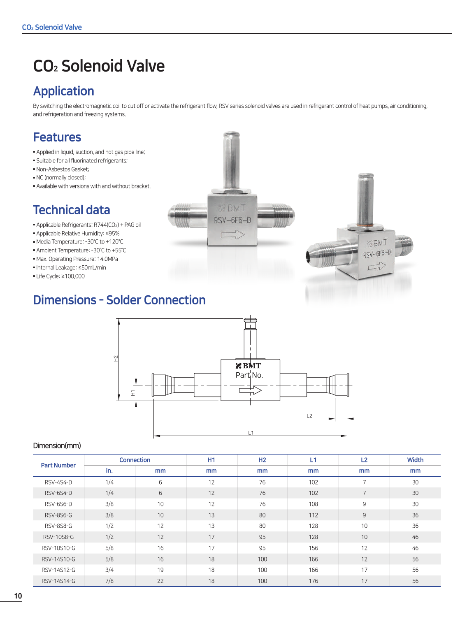## CO2 Solenoid Valve

## Application

By switching the electromagnetic coil to cut off or activate the refrigerant flow, RSV series solenoid valves are used in refrigerant control of heat pumps, air conditioning, and refrigeration and freezing systems.



- Applied in liquid, suction, and hot gas pipe line;
- Suitable for all fluorinated refrigerants;
- Non-Asbestos Gasket;
- NC (normally closed);
- Available with versions with and without bracket.

## Technical data

- Applicable Refrigerants: R744(CO2) + PAG oil
- Applicable Relative Humidity: ≤95%
- Media Temperature: -30°C to +120°C
- Ambient Temperature: -30°C to +55°C
- Max. Operating Pressure: 14.0MPa
- Internal Leakage: ≤50mL/min
- Life Cycle: ≥100,000



## Dimensions - Solder Connection



### Dimension(mm)

| <b>Part Number</b> |     | <b>Connection</b> | H1 | H2  | L1  | L <sub>2</sub> | <b>Width</b> |
|--------------------|-----|-------------------|----|-----|-----|----------------|--------------|
|                    | in. | mm                | mm | mm  | mm  | mm             | mm           |
| RSV-4S4-D          | 1/4 | 6                 | 12 | 76  | 102 | $\overline{7}$ | 30           |
| RSV-6S4-D          | 1/4 | 6                 | 12 | 76  | 102 | 7              | 30           |
| RSV-6S6-D          | 3/8 | 10                | 12 | 76  | 108 | 9              | 30           |
| RSV-8S6-G          | 3/8 | 10                | 13 | 80  | 112 | 9              | 36           |
| RSV-8S8-G          | 1/2 | 12                | 13 | 80  | 128 | 10             | 36           |
| RSV-10S8-G         | 1/2 | 12                | 17 | 95  | 128 | 10             | 46           |
| RSV-10S10-G        | 5/8 | 16                | 17 | 95  | 156 | 12             | 46           |
| RSV-14S10-G        | 5/8 | 16                | 18 | 100 | 166 | 12             | 56           |
| RSV-14S12-G        | 3/4 | 19                | 18 | 100 | 166 | 17             | 56           |
| RSV-14S14-G        | 7/8 | 22                | 18 | 100 | 176 | 17             | 56           |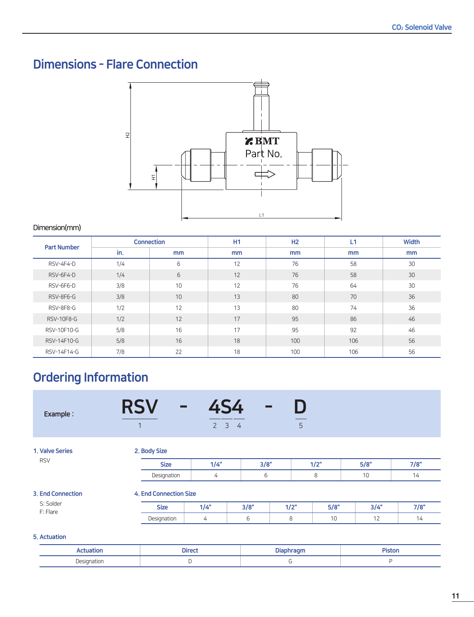## Dimensions - Flare Connection



### Dimension(mm)

| <b>Part Number</b> |     | <b>Connection</b> | H1 | H2  | L1  | <b>Width</b> |
|--------------------|-----|-------------------|----|-----|-----|--------------|
|                    | in. | mm                | mm | mm  | mm  | mm           |
| RSV-4F4-D          | 1/4 | 6                 | 12 | 76  | 58  | 30           |
| RSV-6F4-D          | 1/4 | 6                 | 12 | 76  | 58  | 30           |
| RSV-6F6-D          | 3/8 | 10                | 12 | 76  | 64  | 30           |
| RSV-8F6-G          | 3/8 | 10                | 13 | 80  | 70  | 36           |
| RSV-8F8-G          | 1/2 | 12                | 13 | 80  | 74  | 36           |
| RSV-10F8-G         | 1/2 | 12                | 17 | 95  | 86  | 46           |
| RSV-10F10-G        | 5/8 | 16                | 17 | 95  | 92  | 46           |
| RSV-14F10-G        | 5/8 | 16                | 18 | 100 | 106 | 56           |
| RSV-14F14-G        | 7/8 | 22                | 18 | 100 | 106 | 56           |

## Ordering Information

| Example:                 | <b>RSV</b><br>$\equiv$<br>$\overline{1}$ | 4S4<br>$\overline{2}$<br>$3 \quad 4$ | $\equiv$ | D<br>5 |      |      |      |
|--------------------------|------------------------------------------|--------------------------------------|----------|--------|------|------|------|
| 1. Valve Series          | 2. Body Size                             |                                      |          |        |      |      |      |
| <b>RSV</b>               | <b>Size</b>                              | 1/4"                                 | 3/8"     |        | 1/2" | 5/8" | 7/8" |
|                          | Designation                              | 4                                    | 6        |        | 8    | 10   | 14   |
| <b>3. End Connection</b> | <b>4. End Connection Size</b>            |                                      |          |        |      |      |      |
| S: Solder<br>F: Flare    | <b>Size</b>                              | 1/4"                                 | 3/8"     | 1/2"   | 5/8" | 3/4" | 7/8" |
|                          | Designation                              | 4                                    | 6        | 8      | 10   | 12   | 14   |
| 5. Actuation             |                                          |                                      |          |        |      |      |      |

|                    | <b>Direct</b> |  | a mara di<br>ыш |  |
|--------------------|---------------|--|-----------------|--|
| Designation<br>--- |               |  |                 |  |